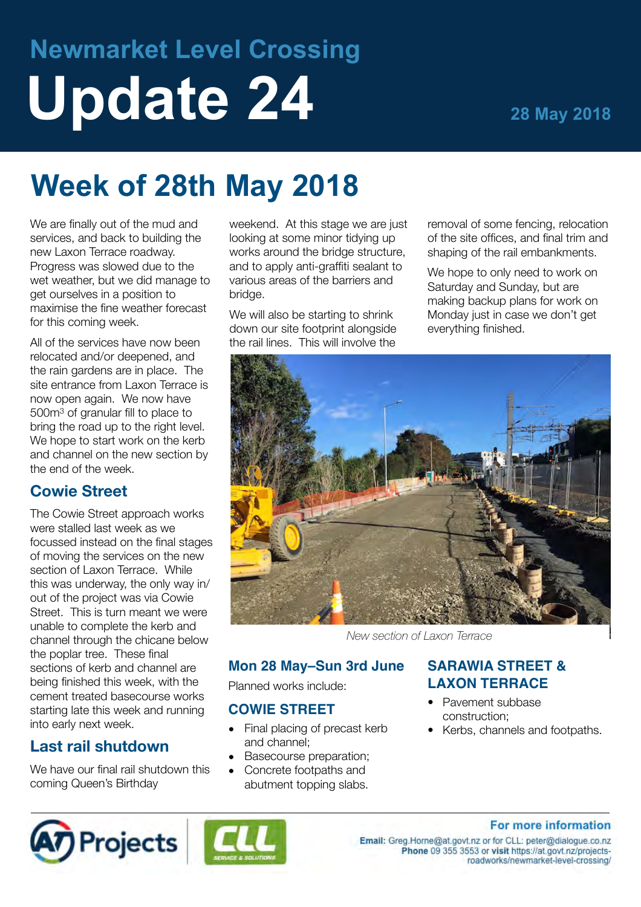# **Newmarket Level Crossing** Update 24 28 May 2018

## **Week of 28th May 2018**

We are finally out of the mud and services, and back to building the new Laxon Terrace roadway. Progress was slowed due to the wet weather, but we did manage to get ourselves in a position to maximise the fine weather forecast for this coming week.

All of the services have now been relocated and/or deepened, and the rain gardens are in place. The site entrance from Laxon Terrace is now open again. We now have 500m3 of granular fill to place to bring the road up to the right level. We hope to start work on the kerb and channel on the new section by the end of the week.

#### **Cowie Street**

The Cowie Street approach works were stalled last week as we focussed instead on the final stages of moving the services on the new section of Laxon Terrace. While this was underway, the only way in/ out of the project was via Cowie Street. This is turn meant we were unable to complete the kerb and channel through the chicane below the poplar tree. These final sections of kerb and channel are being finished this week, with the cement treated basecourse works starting late this week and running into early next week.

#### **Last rail shutdown**

We have our final rail shutdown this coming Queen's Birthday

weekend. At this stage we are just looking at some minor tidying up works around the bridge structure, and to apply anti-graffiti sealant to various areas of the barriers and bridge.

We will also be starting to shrink down our site footprint alongside the rail lines. This will involve the

removal of some fencing, relocation of the site offices, and final trim and shaping of the rail embankments.

We hope to only need to work on Saturday and Sunday, but are making backup plans for work on Monday just in case we don't get everything finished.



*New section of Laxon Terrace*

#### **Mon 28 May–Sun 3rd June**

Planned works include:

#### **COWIE STREET**

- Final placing of precast kerb and channel;
- Basecourse preparation;
- Concrete footpaths and abutment topping slabs.

#### **SARAWIA STREET & LAXON TERRACE**

- Pavement subbase construction;
- Kerbs, channels and footpaths.





#### For more information

Email: Greg.Horne@at.govt.nz or for CLL: peter@dialogue.co.nz Phone 09 355 3553 or visit https://at.govt.nz/projectsroadworks/newmarket-level-crossing/